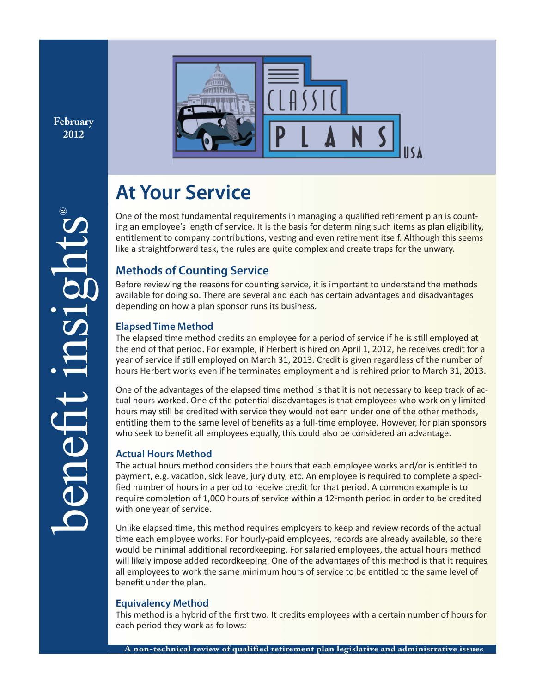**February 2012**



# **At Your Service**

One of the most fundamental requirements in managing a qualified retirement plan is counting an employee's length of service. It is the basis for determining such items as plan eligibility, entitlement to company contributions, vesting and even retirement itself. Although this seems like a straightforward task, the rules are quite complex and create traps for the unwary.

## **Methods of Counting Service**

Before reviewing the reasons for counting service, it is important to understand the methods available for doing so. There are several and each has certain advantages and disadvantages depending on how a plan sponsor runs its business.

## **Elapsed Time Method**

The elapsed time method credits an employee for a period of service if he is still employed at the end of that period. For example, if Herbert is hired on April 1, 2012, he receives credit for a year of service if still employed on March 31, 2013. Credit is given regardless of the number of hours Herbert works even if he terminates employment and is rehired prior to March 31, 2013.

One of the advantages of the elapsed time method is that it is not necessary to keep track of actual hours worked. One of the potential disadvantages is that employees who work only limited hours may still be credited with service they would not earn under one of the other methods, entitling them to the same level of benefits as a full-time employee. However, for plan sponsors who seek to benefit all employees equally, this could also be considered an advantage.

## **Actual Hours Method**

The actual hours method considers the hours that each employee works and/or is entitled to payment, e.g. vacation, sick leave, jury duty, etc. An employee is required to complete a specified number of hours in a period to receive credit for that period. A common example is to require completion of 1,000 hours of service within a 12-month period in order to be credited with one year of service.

Unlike elapsed time, this method requires employers to keep and review records of the actual time each employee works. For hourly-paid employees, records are already available, so there would be minimal additional recordkeeping. For salaried employees, the actual hours method will likely impose added recordkeeping. One of the advantages of this method is that it requires all employees to work the same minimum hours of service to be entitled to the same level of benefit under the plan.

## **Equivalency Method**

This method is a hybrid of the first two. It credits employees with a certain number of hours for each period they work as follows: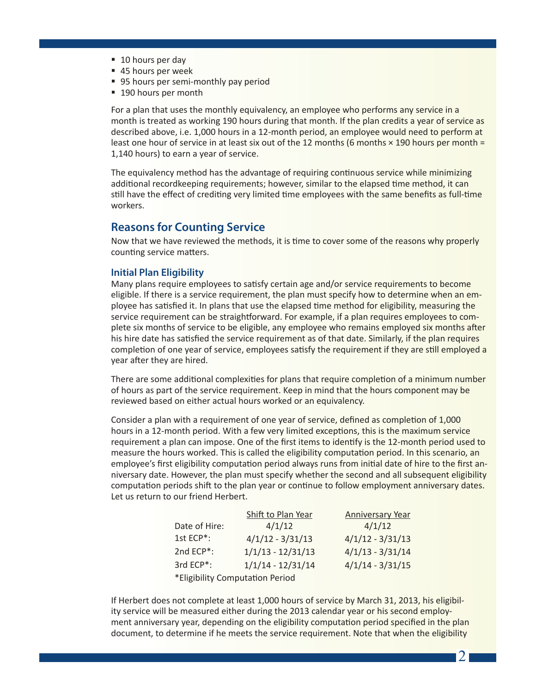- 10 hours per day
- 45 hours per week
- 95 hours per semi-monthly pay period
- 190 hours per month

For a plan that uses the monthly equivalency, an employee who performs any service in a month is treated as working 190 hours during that month. If the plan credits a year of service as described above, i.e. 1,000 hours in a 12-month period, an employee would need to perform at least one hour of service in at least six out of the 12 months (6 months  $\times$  190 hours per month = 1,140 hours) to earn a year of service.

The equivalency method has the advantage of requiring continuous service while minimizing additional recordkeeping requirements; however, similar to the elapsed time method, it can still have the effect of crediting very limited time employees with the same benefits as full-time workers.

## **Reasons for Counting Service**

Now that we have reviewed the methods, it is time to cover some of the reasons why properly counting service matters.

#### **Initial Plan Eligibility**

Many plans require employees to satisfy certain age and/or service requirements to become eligible. If there is a service requirement, the plan must specify how to determine when an employee has satisfied it. In plans that use the elapsed time method for eligibility, measuring the service requirement can be straightforward. For example, if a plan requires employees to complete six months of service to be eligible, any employee who remains employed six months after his hire date has satisfied the service requirement as of that date. Similarly, if the plan requires completion of one year of service, employees satisfy the requirement if they are still employed a year after they are hired.

There are some additional complexities for plans that require completion of a minimum number of hours as part of the service requirement. Keep in mind that the hours component may be reviewed based on either actual hours worked or an equivalency.

Consider a plan with a requirement of one year of service, defined as completion of 1,000 hours in a 12-month period. With a few very limited exceptions, this is the maximum service requirement a plan can impose. One of the first items to identify is the 12-month period used to measure the hours worked. This is called the eligibility computation period. In this scenario, an employee's first eligibility computation period always runs from initial date of hire to the first anniversary date. However, the plan must specify whether the second and all subsequent eligibility computation periods shift to the plan year or continue to follow employment anniversary dates. Let us return to our friend Herbert.

|                                 | Shift to Plan Year  | <b>Anniversary Year</b> |
|---------------------------------|---------------------|-------------------------|
| Date of Hire:                   | 4/1/12              | 4/1/12                  |
| 1st ECP*:                       | $4/1/12 - 3/31/13$  | $4/1/12 - 3/31/13$      |
| 2nd ECP*:                       | $1/1/13 - 12/31/13$ | $4/1/13 - 3/31/14$      |
| 3rd ECP*:                       | $1/1/14 - 12/31/14$ | $4/1/14 - 3/31/15$      |
| *Eligibility Computation Period |                     |                         |

If Herbert does not complete at least 1,000 hours of service by March 31, 2013, his eligibility service will be measured either during the 2013 calendar year or his second employment anniversary year, depending on the eligibility computation period specified in the plan document, to determine if he meets the service requirement. Note that when the eligibility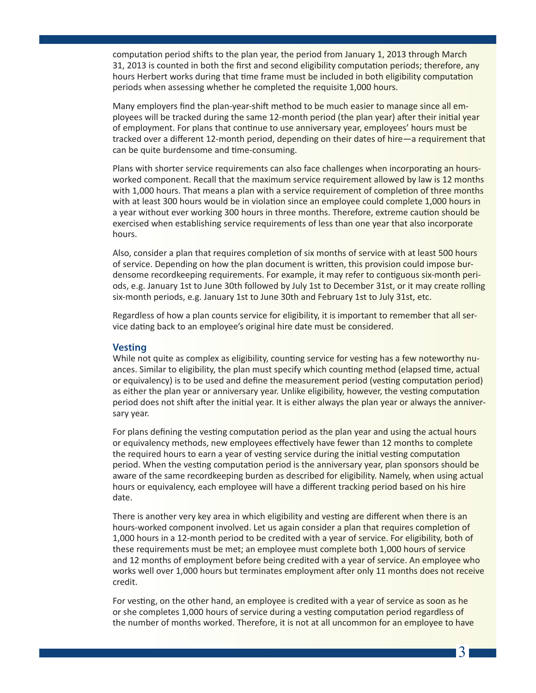computation period shifts to the plan year, the period from January 1, 2013 through March 31, 2013 is counted in both the first and second eligibility computation periods; therefore, any hours Herbert works during that time frame must be included in both eligibility computation periods when assessing whether he completed the requisite 1,000 hours.

Many employers find the plan-year-shift method to be much easier to manage since all employees will be tracked during the same 12-month period (the plan year) after their initial year of employment. For plans that continue to use anniversary year, employees' hours must be tracked over a different 12-month period, depending on their dates of hire—a requirement that can be quite burdensome and time-consuming.

Plans with shorter service requirements can also face challenges when incorporating an hoursworked component. Recall that the maximum service requirement allowed by law is 12 months with 1,000 hours. That means a plan with a service requirement of completion of three months with at least 300 hours would be in violation since an employee could complete 1,000 hours in a year without ever working 300 hours in three months. Therefore, extreme caution should be exercised when establishing service requirements of less than one year that also incorporate hours.

Also, consider a plan that requires completion of six months of service with at least 500 hours of service. Depending on how the plan document is written, this provision could impose burdensome recordkeeping requirements. For example, it may refer to contiguous six-month periods, e.g. January 1st to June 30th followed by July 1st to December 31st, or it may create rolling six-month periods, e.g. January 1st to June 30th and February 1st to July 31st, etc.

Regardless of how a plan counts service for eligibility, it is important to remember that all service dating back to an employee's original hire date must be considered.

#### **Vesting**

While not quite as complex as eligibility, counting service for vesting has a few noteworthy nuances. Similar to eligibility, the plan must specify which counting method (elapsed time, actual or equivalency) is to be used and define the measurement period (vesting computation period) as either the plan year or anniversary year. Unlike eligibility, however, the vesting computation period does not shift after the initial year. It is either always the plan year or always the anniversary year.

For plans defining the vesting computation period as the plan year and using the actual hours or equivalency methods, new employees effectively have fewer than 12 months to complete the required hours to earn a year of vesting service during the initial vesting computation period. When the vesting computation period is the anniversary year, plan sponsors should be aware of the same recordkeeping burden as described for eligibility. Namely, when using actual hours or equivalency, each employee will have a different tracking period based on his hire date.

There is another very key area in which eligibility and vesting are different when there is an hours-worked component involved. Let us again consider a plan that requires completion of 1,000 hours in a 12-month period to be credited with a year of service. For eligibility, both of these requirements must be met; an employee must complete both 1,000 hours of service and 12 months of employment before being credited with a year of service. An employee who works well over 1,000 hours but terminates employment after only 11 months does not receive credit.

For vesting, on the other hand, an employee is credited with a year of service as soon as he or she completes 1,000 hours of service during a vesting computation period regardless of the number of months worked. Therefore, it is not at all uncommon for an employee to have